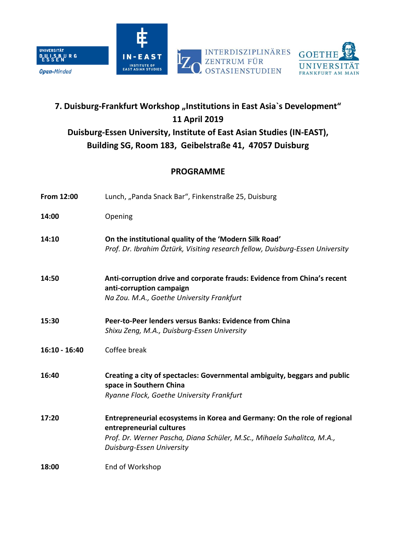





# **7. Duisburg-Frankfurt Workshop "Institutions in East Asia`s Development" 11 April 2019 Duisburg-Essen University, Institute of East Asian Studies (IN-EAST), Building SG, Room 183, Geibelstraße 41, 47057 Duisburg**

## **PROGRAMME**

| From 12:00    | Lunch, "Panda Snack Bar", Finkenstraße 25, Duisburg                                                                                                                                                          |
|---------------|--------------------------------------------------------------------------------------------------------------------------------------------------------------------------------------------------------------|
| 14:00         | Opening                                                                                                                                                                                                      |
| 14:10         | On the institutional quality of the 'Modern Silk Road'<br>Prof. Dr. Ibrahim Öztürk, Visiting research fellow, Duisburg-Essen University                                                                      |
| 14:50         | Anti-corruption drive and corporate frauds: Evidence from China's recent<br>anti-corruption campaign<br>Na Zou. M.A., Goethe University Frankfurt                                                            |
| 15:30         | Peer-to-Peer lenders versus Banks: Evidence from China<br>Shixu Zeng, M.A., Duisburg-Essen University                                                                                                        |
| 16:10 - 16:40 | Coffee break                                                                                                                                                                                                 |
| 16:40         | Creating a city of spectacles: Governmental ambiguity, beggars and public<br>space in Southern China<br>Ryanne Flock, Goethe University Frankfurt                                                            |
| 17:20         | Entrepreneurial ecosystems in Korea and Germany: On the role of regional<br>entrepreneurial cultures<br>Prof. Dr. Werner Pascha, Diana Schüler, M.Sc., Mihaela Suhalitca, M.A.,<br>Duisburg-Essen University |
| 18:00         | End of Workshop                                                                                                                                                                                              |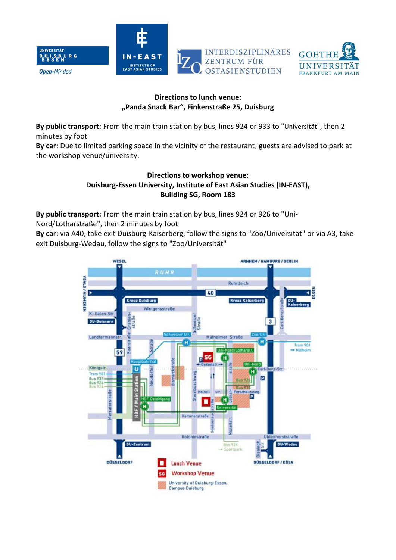



#### **Directions to lunch venue: "Panda Snack Bar", Finkenstraße 25, Duisburg**

**By public transport:** From the main train station by bus, lines 924 or 933 to "Universität", then 2 minutes by foot

**By car:** Due to limited parking space in the vicinity of the restaurant, guests are advised to park at the workshop venue/university.

#### **Directions to workshop venue: Duisburg-Essen University, Institute of East Asian Studies (IN-EAST), Building SG, Room 183**

**By public transport:** From the main train station by bus, lines 924 or 926 to "Uni-

Nord/Lotharstraße", then 2 minutes by foot

**By car:** via A40, take exit Duisburg-Kaiserberg, follow the signs to "Zoo/Universität" or via A3, take exit Duisburg-Wedau, follow the signs to "Zoo/Universität"